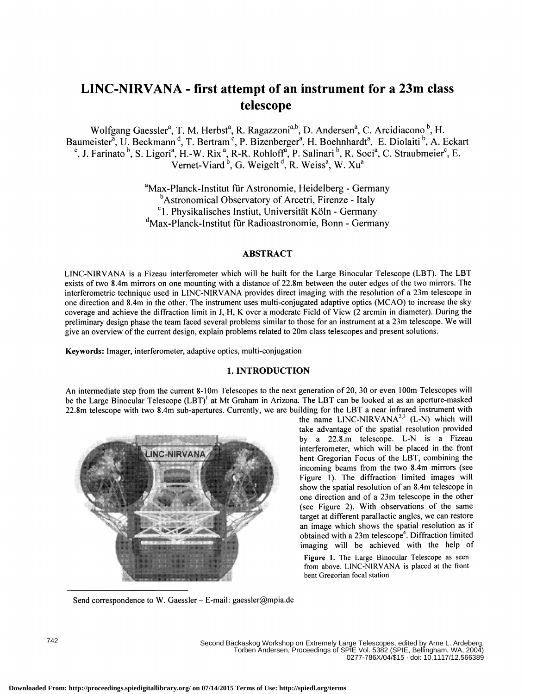# LINC-NIRVANA - first attempt of an instrument for a 23m class telescope

Wolfgang Gaessler<sup>a</sup>, T. M. Herbst<sup>a</sup>, R. Ragazzoni<sup>a,b</sup>, D. Andersen<sup>a</sup>, C. Arcidiacono<sup>b</sup>, H. Baumeister<sup>a</sup>, U. Beckmann<sup>d</sup>, T. Bertram<sup>c</sup>, P. Bizenberger<sup>a</sup>, H. Boehnhardt<sup>a</sup>, E. Diolaiti<sup>b</sup>, A. Eckart aumeister<sup>a</sup>, U. Beckmann<sup>d</sup>, T. Bertram<sup>c</sup>, P. Bizenberger<sup>a</sup>, H. Boehnhardt<sup>a</sup>, E. Diolaiti<sup>b</sup>, A. Eckart<sup>c</sup>, J. Farinato<sup>b</sup>, S. Ligori<sup>a</sup>, H.-W. Rix<sup>a</sup>, R-R. Rohloff<sup>a</sup>, P. Salinari<sup>b</sup>, R. Soci<sup>a</sup>, C. Straubmeier<sup>c</sup>, E Vernet-Viard<sup>b</sup>, G. Weigelt<sup>d</sup>, R. Weiss<sup>a</sup>, W. Xu<sup>a</sup>

> <sup>a</sup>Max-Planck-Institut für Astronomie, Heidelberg - Germany <sup>b</sup>Astronomical Observatory of Arcetri, Firenze - Italy <sup>c</sup>1. Physikalisches Instiut, Universität Köln - Germany <sup>d</sup>Max-Planck-Institut für Radioastronomie, Bonn - Germany

## ABSTRACT

LINC-NIRVANA is a Fizeau interferometer which will be built for the Large Binocular Telescope (LBT). The LBT exists of two 8.4m mirrors on one mounting with a distance of 22.8m between the outer edges of the two mirrors. The interferometric technique used in LINC-NIRVANA provides direct imaging with the resolution of a 23m telescope in one direction and 8.4m in the other. The instrument uses multi-conjugated adaptive optics (MCAO) to increase the sky coverage and achieve the diffraction limit in J, H, K over a moderate Field of View (2 arcmin in diameter). During the preliminary design phase the team faced several problems similar to those for an instrument at a 23m telescope. We will give an overview ofthe current design, explain problems related to 20m class telescopes and present solutions.

Keywords: Imager, interferometer, adaptive optics, multi-conjugation

# 1. INTRODUCTION

An intermediate step from the current 8-lOm Telescopes to the next generation of2O, 30 or even lOOm Telescopes will be the Large Binocular Telescope (LBT)<sup>1</sup> at Mt Graham in Arizona. The LBT can be looked at as an aperture-masked 22.8m telescope with two 8.4m sub-apertures. Currently, we are building for the LBT a near infrared instrument with



the name LINC-NIRVANA<sup>2,3</sup> (L-N) which will take advantage of the spatial resolution provided by a 22.8.m telescope. L-N is a Fizeau interferometer, which will be placed in the front bent Gregorian Focus of the LBT, combining the incoming beams from the two 8.4m mirrors (see Figure 1). The diffraction limited images will show the spatial resolution of an 8.4m telescope in one direction and of a 23m telescope in the other (see Figure 2). With observations of the same target at different parallactic angles, we can restore an image which shows the spatial resolution as if obtained with a 23m telescope<sup>4</sup>. Diffraction limited imaging will be achieved with the help of

Figure 1. The Large Binocular Telescope as seen from above. LINC-NIRVANA is placed at the front bent Gregorian focal station

Send correspondence to W. Gaessler - E-mail: gaessler@mpia.de

Second Bäckaskog Workshop on Extremely Large Telescopes, edited by Arne L. Ardeberg, Torben Andersen, Proceedings of SPIE Vol. 5382 (SPIE, Bellingham, WA, 2004) 0277-786X/04/\$15 · doi: 10.1117/12.566389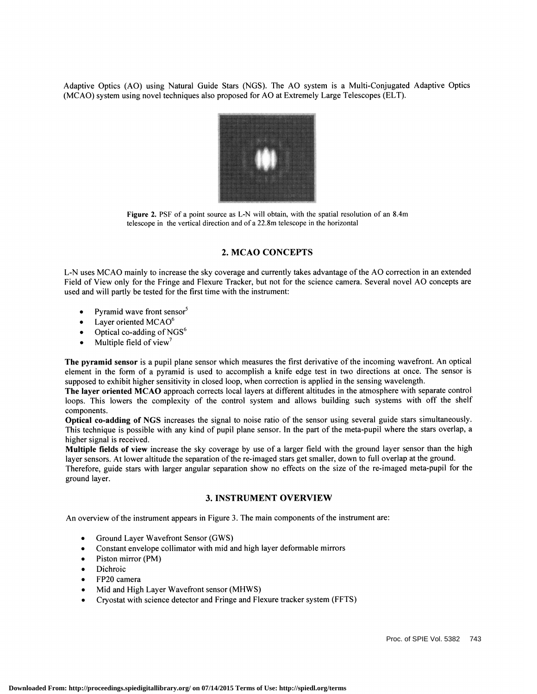Adaptive Optics (AO) using Natural Guide Stars (NGS). The AO system is a Multi-Conjugated Adaptive Optics (MCAO) system using novel techniques also proposed for AO at Extremely Large Telescopes (ELT).



Figure 2. PSF of a point source as L-N will obtain, with the spatial resolution of an 8.4m telescope in the vertical direction and of a 22.8m telescope in the horizontal

## 2. MCAO CONCEPTS

L-N uses MCAO mainly to increase the sky coverage and currently takes advantage of the AO correction in an extended Field of View only for the Fringe and Flexure Tracker, but not for the science camera. Several novel AO concepts are used and will partly be tested for the first time with the instrument:

- Pyramid wave front sensor<sup>5</sup>
- Layer oriented  $MCAO<sup>6</sup>$
- Optical co-adding of NGS<sup>6</sup>
- Multiple field of view<sup>7</sup>

The pyramid sensor is a pupil plane sensor which measures the first derivative of the incoming wavefront. An optical element in the form of a pyramid is used to accomplish a knife edge test in two directions at once. The sensor is supposed to exhibit higher sensitivity in closed loop, when correction is applied in the sensing wavelength.

The layer oriented MCAO approach corrects local layers at different altitudes in the atmosphere with separate control loops. This lowers the complexity of the control system and allows building such systems with off the shelf components.

Optical co-adding of NGS increases the signal to noise ratio of the sensor using several guide stars simultaneously. This technique is possible with any kind of pupil plane sensor. In the part of the meta-pupil where the stars overlap, a higher signal is received.

Multiple fields of view increase the sky coverage by use of a larger field with the ground layer sensor than the high layer sensors. At lower altitude the separation of the re-imaged stars get smaller, down to full overlap at the ground.

Therefore, guide stars with larger angular separation show no effects on the size of the re-imaged meta-pupil for the ground layer.

### 3. INSTRUMENT OVERVIEW

An overview of the instrument appears in Figure 3. The main components of the instrument are:

- Ground Layer Wavefront Sensor (GWS)
- Constant envelope collimator with mid and high layer deformable mirrors<br>• Piston mirror (PM)
- 
- Dichroic
- FP2O camera
- 
- Mid and High Layer Wavefront sensor (MHWS)<br>• Cryostat with science detector and Fringe and Flexure tracker system (FFTS)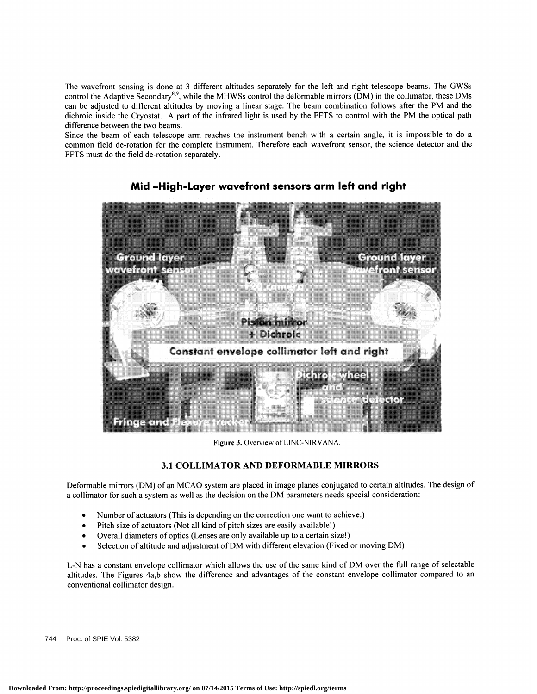The wavefront sensing is done at 3 different altitudes separately for the left and right telescope beams. The GWSs control the Adaptive Secondary<sup>8,9</sup>, while the MHWSs control the deformable mirrors (DM) in the collimator, these DMs can be adjusted to different altitudes by moving a linear stage. The beam combination follows after the PM and the dichroic inside the Cryostat. A part of the infrared light is used by the FFTS to control with the PM the optical path difference between the two beams.

Since the beam of each telescope arm reaches the instrument bench with a certain angle, it is impossible to do a common field de-rotation for the complete instrument. Therefore each wavefront sensor, the science detector and the FFTS must do the field de-rotation separately.



Mid —High-Layer wavefront sensors arm left and right

Figure 3. Overview of LINC-NIRVANA.

# 3.1 COLLIMATOR AND DEFORMABLE MIRRORS

Deformable mirrors (DM) of an MCAO system are placed in image planes conjugated to certain altitudes. The design of a collimator for such a system as well as the decision on the DM parameters needs special consideration:

- Number of actuators (This is depending on the correction one want to achieve.)
- 
- Pitch size of actuators (Not all kind of pitch sizes are easily available!)<br>Overall diameters of optics (Lenses are only available up to a certain size!)
- Overall diameters of optics (Lenses are only available up to a certain size!)<br>• Selection of altitude and adjustment of DM with different elevation (Fixed or moving DM)

L-N has a constant envelope collimator which allows the use of the same kind of DM over the full range of selectable altitudes. The Figures 4a,b show the difference and advantages of the constant envelope collimator compared to an conventional collimator design.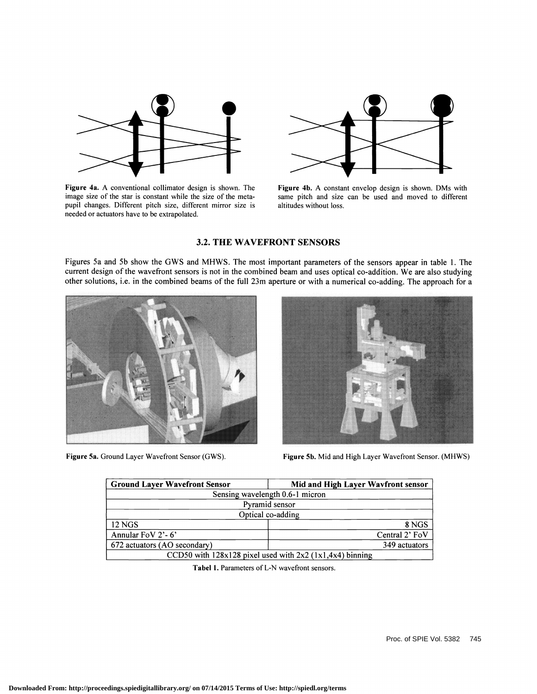

Figure 4a. A conventional collimator design is shown. The image size of the star is constant while the size of the metapupil changes. Different pitch size, different mirror size is needed or actuators have to be extrapolated.



Figure 4b. A constant envelop design is shown. DMs with same pitch and size can be used and moved to different altitudes without loss.

# 3.2. THE WAVEFRONT SENSORS

Figures 5a and 5b show the GWS and MHWS. The most important parameters of the sensors appear in table 1. The current design of the wavefront sensors is not in the combined beam and uses optical co-addition. We are also studying other solutions, i.e. in the combined beams of the full 23m aperture or with a numerical co-adding. The approach for a





Figure 5a. Ground Layer Wavefront Sensor (GWS). Figure 5b. Mid and High Layer Wavefront Sensor. (MHWS)

| <b>Ground Layer Wavefront Sensor</b> | Mid and High Layer Wavfront sensor                          |
|--------------------------------------|-------------------------------------------------------------|
|                                      | Sensing wavelength 0.6-1 micron                             |
|                                      | Pyramid sensor                                              |
|                                      | Optical co-adding                                           |
| <b>12 NGS</b>                        | 8 NGS                                                       |
| Annular FoV 2'-6'                    | Central 2' FoV                                              |
| 672 actuators (AO secondary)         | 349 actuators                                               |
|                                      | CCD50 with $128x128$ pixel used with $2x2(1x1,4x4)$ binning |

Tabel I. Parameters of L-N wavefront sensors.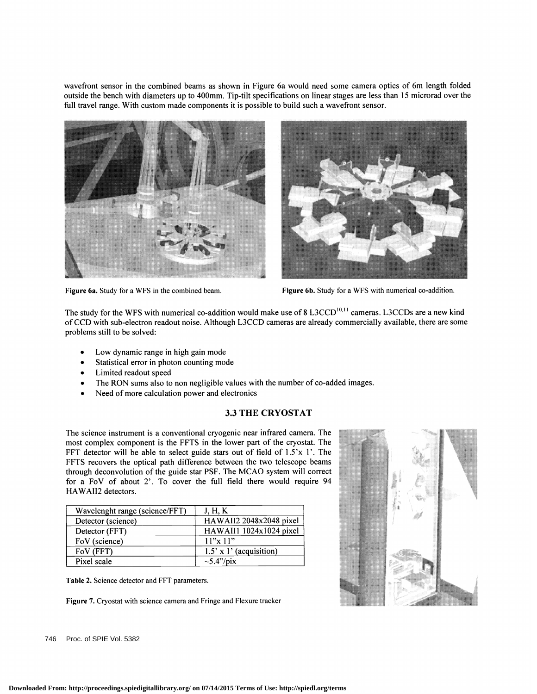wavefront sensor in the combined beams as shown in Figure 6a would need some camera optics of 6m length folded outside the bench with diameters up to 400mm. Tip-tilt specifications on linear stages are less than 15 microrad over the full travel range. With custom made components it is possible to build such a wavefront sensor.





Figure 6a. Study for a WFS in the combined beam. Figure 6b. Study for a WFS with numerical co-addition.

The study for the WFS with numerical co-addition would make use of 8 L3CCD<sup>10,11</sup> cameras. L3CCDs are a new kind of CCD with sub-electron readout noise. Although L3CCD cameras are already commercially available, there are some problems still to be solved:

- Low dynamic range in high gain mode
- Statistical error in photon counting mode
- Limited readout speed
- The RON sums also to non negligible values with the number of co-added images. Need of more calculation power and electronics
- 

# 3.3 THE CRYOSTAT

The science instrument is a conventional cryogenic near infrared camera. The most complex component is the FFTS in the lower part of the cryostat. The FFT detector will be able to select guide stars out of field of  $1.5'x$  1'. The FFTS recovers the optical path difference between the two telescope beams through deconvolution of the guide star PSF. The MCAO system will correct for a FoV of about 2'. To cover the full field there would require 94 HAWAII2 detectors.

| Wavelenght range (science/FFT) | J, H, K                        |
|--------------------------------|--------------------------------|
| Detector (science)             | HAWAII2 2048x2048 pixel        |
| Detector (FFT)                 | HAWAII1 1024x1024 pixel        |
| FoV (science)                  | 11"x11"                        |
| FoV (FFT)                      | $1.5' \times 1'$ (acquisition) |
| Pixel scale                    | $\sim$ 5.4"/pix                |

Table 2. Science detector and FFT parameters.

Figure 7. Cryostat with science camera and Fringe and Flexure tracker



746 Proc. of SPIE Vol. 5382